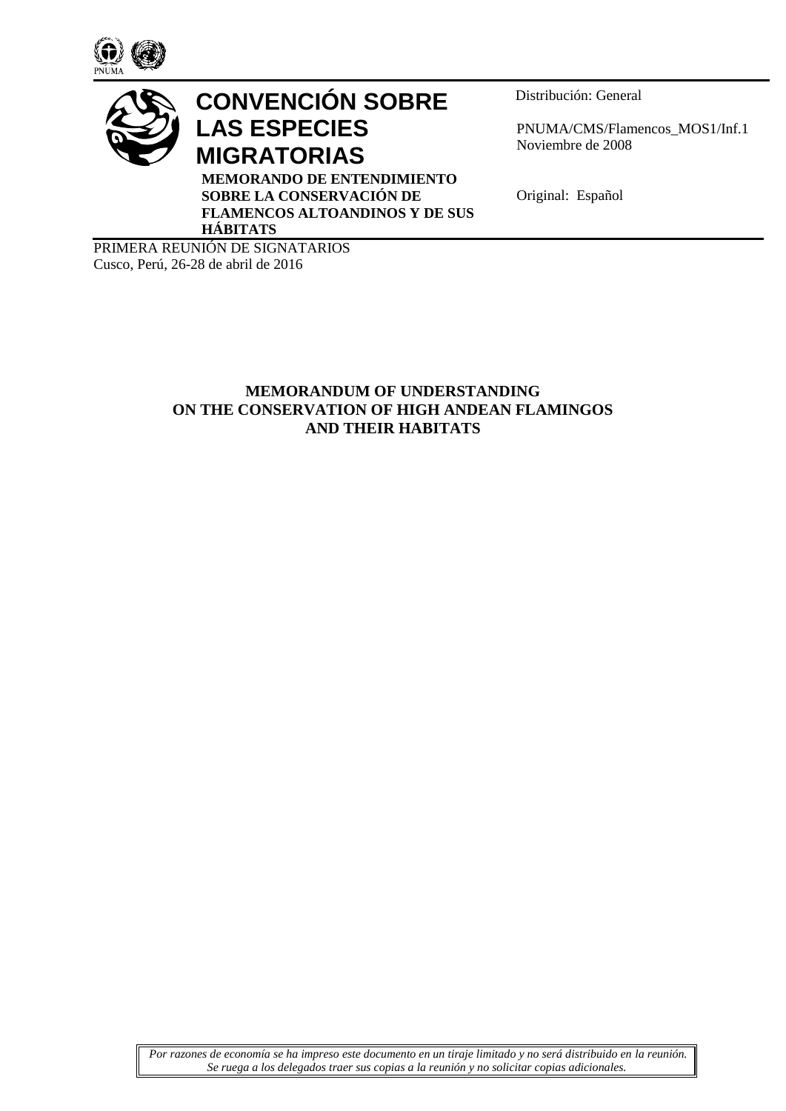



# **CONVENCIÓN SOBRE LAS ESPECIES MIGRATORIAS**

**MEMORANDO DE ENTENDIMIENTO SOBRE LA CONSERVACIÓN DE FLAMENCOS ALTOANDINOS Y DE SUS HÁBITATS**

Distribución: General

PNUMA/CMS/Flamencos\_MOS1/Inf.1 Noviembre de 2008

Original: Español

PRIMERA REUNIÓN DE SIGNATARIOS Cusco, Perú, 26-28 de abril de 2016

# **MEMORANDUM OF UNDERSTANDING ON THE CONSERVATION OF HIGH ANDEAN FLAMINGOS AND THEIR HABITATS**

*Por razones de economía se ha impreso este documento en un tiraje limitado y no será distribuido en la reunión. Se ruega a los delegados traer sus copias a la reunión y no solicitar copias adicionales.*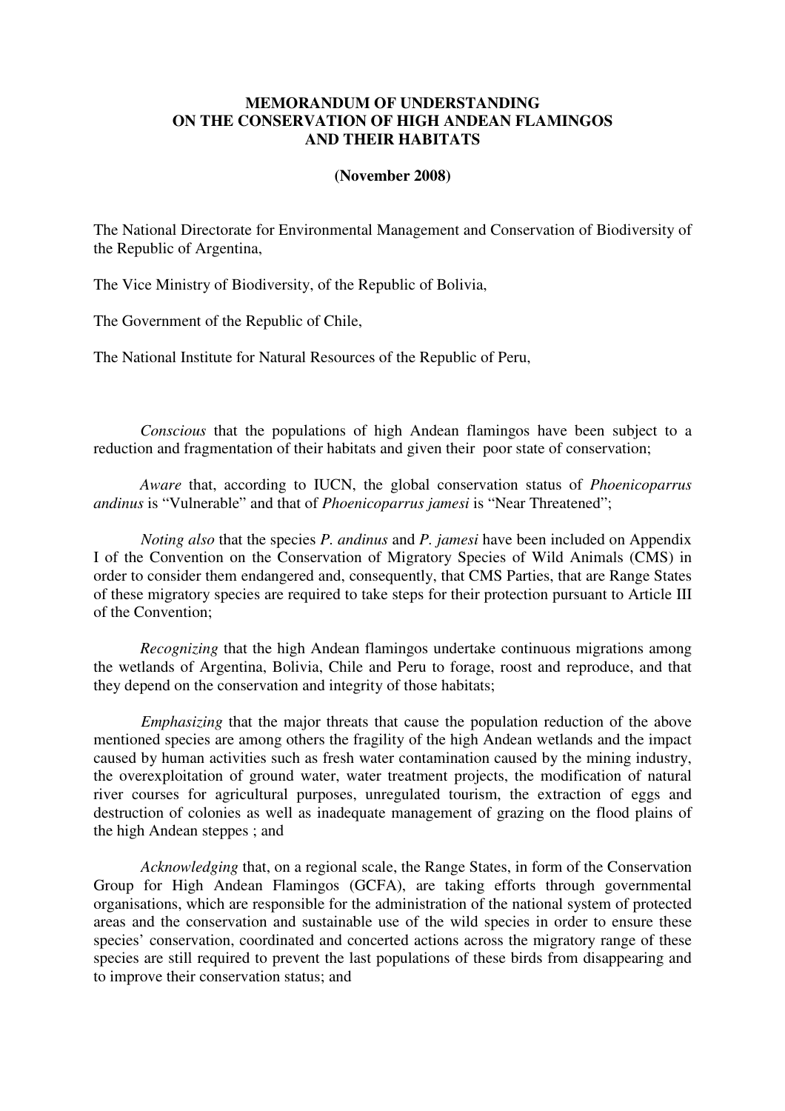### **MEMORANDUM OF UNDERSTANDING ON THE CONSERVATION OF HIGH ANDEAN FLAMINGOS AND THEIR HABITATS**

#### **(November 2008)**

The National Directorate for Environmental Management and Conservation of Biodiversity of the Republic of Argentina,

The Vice Ministry of Biodiversity, of the Republic of Bolivia,

The Government of the Republic of Chile,

The National Institute for Natural Resources of the Republic of Peru,

*Conscious* that the populations of high Andean flamingos have been subject to a reduction and fragmentation of their habitats and given their poor state of conservation;

*Aware* that, according to IUCN, the global conservation status of *Phoenicoparrus andinus* is "Vulnerable" and that of *Phoenicoparrus jamesi* is "Near Threatened";

*Noting also* that the species *P. andinus* and *P. jamesi* have been included on Appendix I of the Convention on the Conservation of Migratory Species of Wild Animals (CMS) in order to consider them endangered and, consequently, that CMS Parties, that are Range States of these migratory species are required to take steps for their protection pursuant to Article III of the Convention;

*Recognizing* that the high Andean flamingos undertake continuous migrations among the wetlands of Argentina, Bolivia, Chile and Peru to forage, roost and reproduce, and that they depend on the conservation and integrity of those habitats;

*Emphasizing* that the major threats that cause the population reduction of the above mentioned species are among others the fragility of the high Andean wetlands and the impact caused by human activities such as fresh water contamination caused by the mining industry, the overexploitation of ground water, water treatment projects, the modification of natural river courses for agricultural purposes, unregulated tourism, the extraction of eggs and destruction of colonies as well as inadequate management of grazing on the flood plains of the high Andean steppes ; and

*Acknowledging* that, on a regional scale, the Range States, in form of the Conservation Group for High Andean Flamingos (GCFA), are taking efforts through governmental organisations, which are responsible for the administration of the national system of protected areas and the conservation and sustainable use of the wild species in order to ensure these species' conservation, coordinated and concerted actions across the migratory range of these species are still required to prevent the last populations of these birds from disappearing and to improve their conservation status; and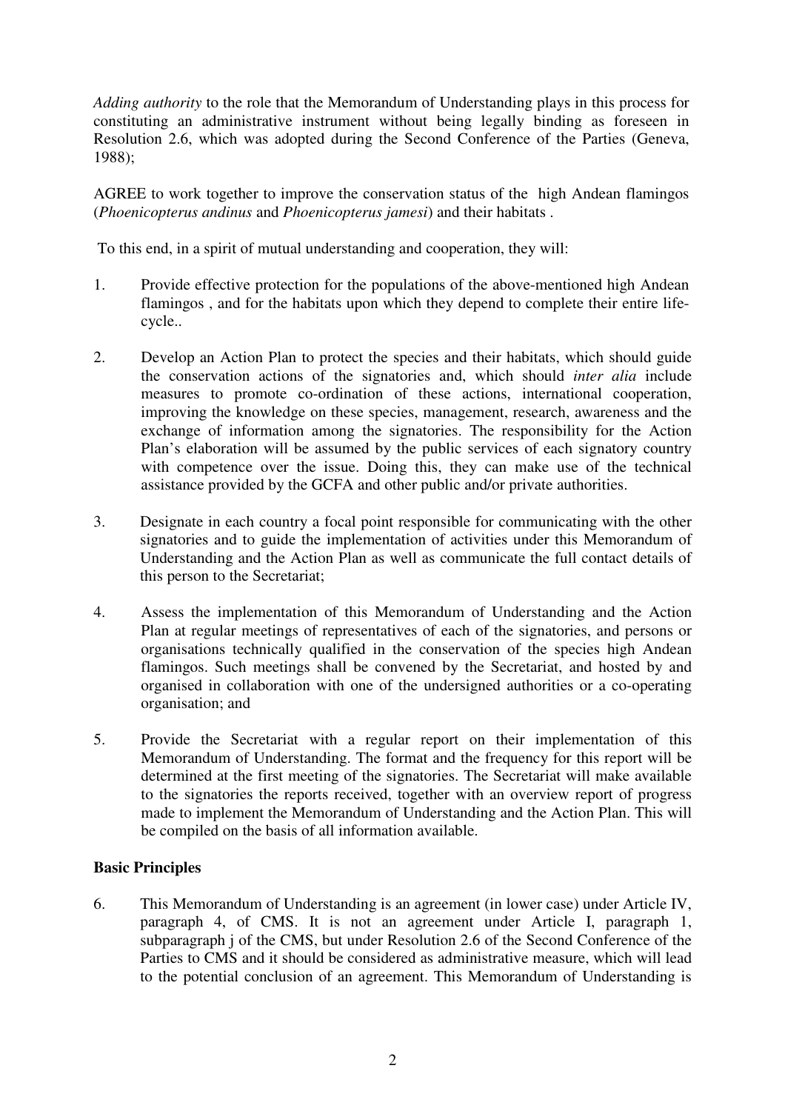*Adding authority* to the role that the Memorandum of Understanding plays in this process for constituting an administrative instrument without being legally binding as foreseen in Resolution 2.6, which was adopted during the Second Conference of the Parties (Geneva, 1988);

AGREE to work together to improve the conservation status of the high Andean flamingos (*Phoenicopterus andinus* and *Phoenicopterus jamesi*) and their habitats .

To this end, in a spirit of mutual understanding and cooperation, they will:

- 1. Provide effective protection for the populations of the above-mentioned high Andean flamingos , and for the habitats upon which they depend to complete their entire lifecycle..
- 2. Develop an Action Plan to protect the species and their habitats, which should guide the conservation actions of the signatories and, which should *inter alia* include measures to promote co-ordination of these actions, international cooperation, improving the knowledge on these species, management, research, awareness and the exchange of information among the signatories. The responsibility for the Action Plan's elaboration will be assumed by the public services of each signatory country with competence over the issue. Doing this, they can make use of the technical assistance provided by the GCFA and other public and/or private authorities.
- 3. Designate in each country a focal point responsible for communicating with the other signatories and to guide the implementation of activities under this Memorandum of Understanding and the Action Plan as well as communicate the full contact details of this person to the Secretariat;
- 4. Assess the implementation of this Memorandum of Understanding and the Action Plan at regular meetings of representatives of each of the signatories, and persons or organisations technically qualified in the conservation of the species high Andean flamingos. Such meetings shall be convened by the Secretariat, and hosted by and organised in collaboration with one of the undersigned authorities or a co-operating organisation; and
- 5. Provide the Secretariat with a regular report on their implementation of this Memorandum of Understanding. The format and the frequency for this report will be determined at the first meeting of the signatories. The Secretariat will make available to the signatories the reports received, together with an overview report of progress made to implement the Memorandum of Understanding and the Action Plan. This will be compiled on the basis of all information available.

# **Basic Principles**

6. This Memorandum of Understanding is an agreement (in lower case) under Article IV, paragraph 4, of CMS. It is not an agreement under Article I, paragraph 1, subparagraph j of the CMS, but under Resolution 2.6 of the Second Conference of the Parties to CMS and it should be considered as administrative measure, which will lead to the potential conclusion of an agreement. This Memorandum of Understanding is